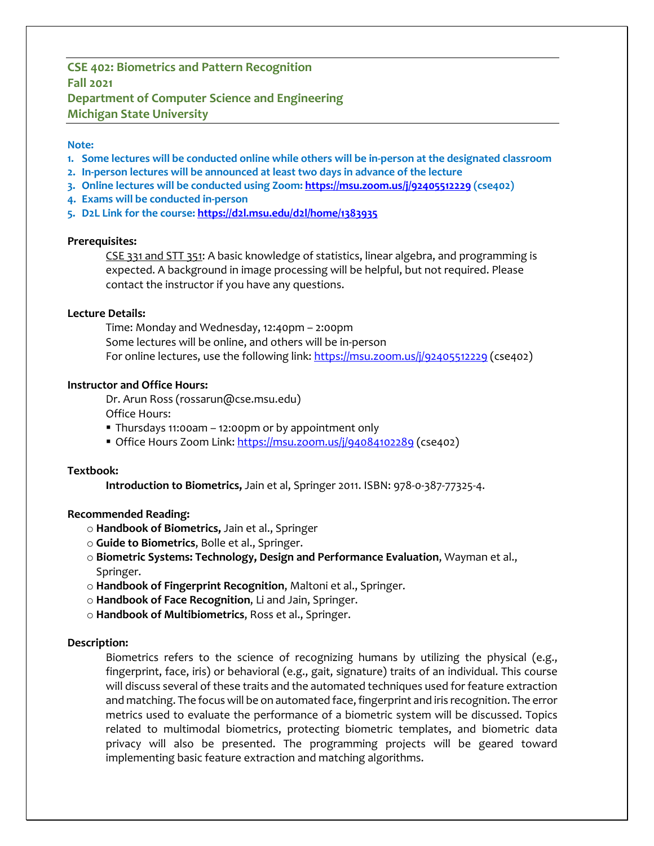# **CSE 402: Biometrics and Pattern Recognition Fall 2021 Department of Computer Science and Engineering Michigan State University**

#### **Note:**

- **1. Some lectures will be conducted online while others will be in-person at the designated classroom**
- **2. In-person lectures will be announced at least two days in advance of the lecture**
- **3. Online lectures will be conducted using Zoom: https://msu.zoom.us/j/92405512229 (cse402)**
- **4. Exams will be conducted in-person**
- **5. D2L Link for the course: https://d2l.msu.edu/d2l/home/1383935**

#### **Prerequisites:**

CSE 331 and STT 351: A basic knowledge of statistics, linear algebra, and programming is expected. A background in image processing will be helpful, but not required. Please contact the instructor if you have any questions.

#### **Lecture Details:**

Time: Monday and Wednesday, 12:40pm – 2:00pm Some lectures will be online, and others will be in-person For online lectures, use the following link: https://msu.zoom.us/j/92405512229 (cse402)

#### **Instructor and Office Hours:**

Dr. Arun Ross (rossarun@cse.msu.edu)

Office Hours:

- § Thursdays 11:00am 12:00pm or by appointment only
- Office Hours Zoom Link: https://msu.zoom.us/j/94084102289 (cse402)

# **Textbook:**

**Introduction to Biometrics,** Jain et al, Springer 2011. ISBN: 978-0-387-77325-4.

# **Recommended Reading:**

- o **Handbook of Biometrics,** Jain et al., Springer
- o **Guide to Biometrics**, Bolle et al., Springer.
- o **Biometric Systems: Technology, Design and Performance Evaluation**, Wayman et al., Springer.
- o **Handbook of Fingerprint Recognition**, Maltoni et al., Springer.
- o **Handbook of Face Recognition**, Li and Jain, Springer.
- o **Handbook of Multibiometrics**, Ross et al., Springer.

# **Description:**

Biometrics refers to the science of recognizing humans by utilizing the physical (e.g., fingerprint, face, iris) or behavioral (e.g., gait, signature) traits of an individual. This course will discuss several of these traits and the automated techniques used for feature extraction and matching. The focus will be on automated face, fingerprint and iris recognition. The error metrics used to evaluate the performance of a biometric system will be discussed. Topics related to multimodal biometrics, protecting biometric templates, and biometric data privacy will also be presented. The programming projects will be geared toward implementing basic feature extraction and matching algorithms.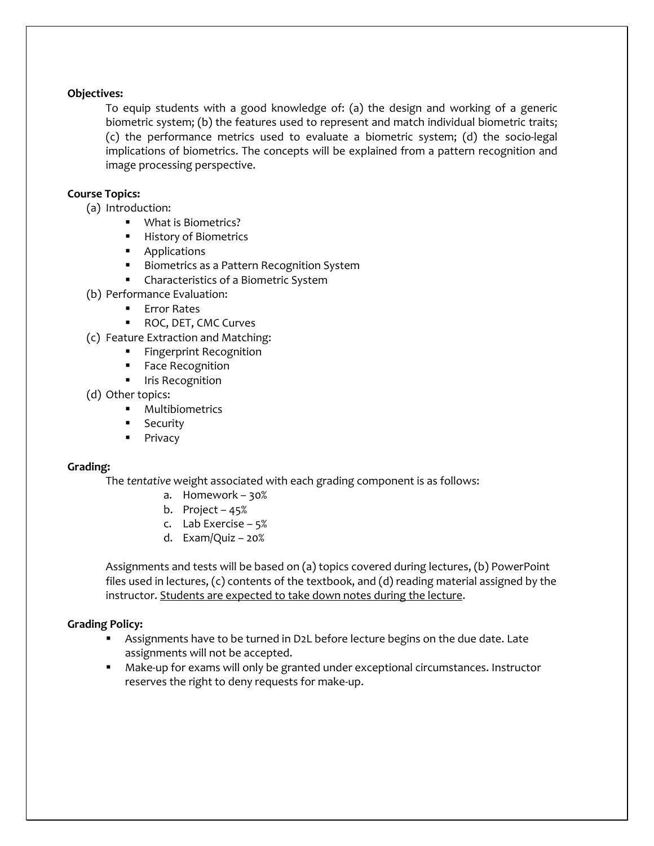# **Objectives:**

To equip students with a good knowledge of: (a) the design and working of a generic biometric system; (b) the features used to represent and match individual biometric traits; (c) the performance metrics used to evaluate a biometric system; (d) the socio-legal implications of biometrics. The concepts will be explained from a pattern recognition and image processing perspective.

# **Course Topics:**

- (a) Introduction:
	- What is Biometrics?
	- History of Biometrics
	- Applications
	- Biometrics as a Pattern Recognition System
	- Characteristics of a Biometric System
- (b) Performance Evaluation:
	- Error Rates
	- ROC, DET, CMC Curves
- (c) Feature Extraction and Matching:
	- Fingerprint Recognition
	- § Face Recognition
	- **■** Iris Recognition
- (d) Other topics:
	- § Multibiometrics
	- Security
	- Privacy

# **Grading:**

The *tentative* weight associated with each grading component is as follows:

- a. Homework 30%
- b. Project 45%
- c. Lab Exercise 5%
- d. Exam/Quiz 20%

Assignments and tests will be based on (a) topics covered during lectures, (b) PowerPoint files used in lectures, (c) contents of the textbook, and (d) reading material assigned by the instructor. Students are expected to take down notes during the lecture.

# **Grading Policy:**

- Assignments have to be turned in D2L before lecture begins on the due date. Late assignments will not be accepted.
- Make-up for exams will only be granted under exceptional circumstances. Instructor reserves the right to deny requests for make-up.